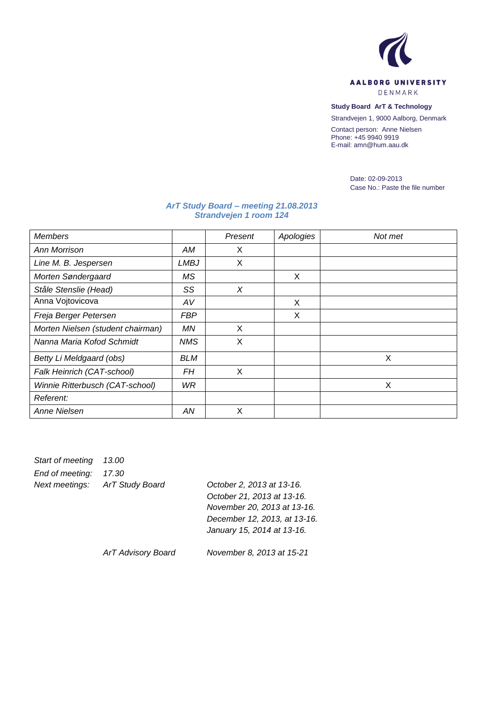

**Study Board ArT & Technology**

Strandvejen 1, 9000 Aalborg, Denmark

Contact person: Anne Nielsen Phone: +45 9940 9919 E-mail: amn@hum.aau.dk

> Date: 02-09-2013 Case No.: Paste the file number

## *ArT Study Board – meeting 21.08.2013 Strandvejen 1 room 124*

| <b>Members</b>                    |             | Present | Apologies | Not met |
|-----------------------------------|-------------|---------|-----------|---------|
| Ann Morrison                      | AM          | X       |           |         |
| Line M. B. Jespersen              | <b>LMBJ</b> | X       |           |         |
| Morten Søndergaard                | МS          |         | X         |         |
| Ståle Stenslie (Head)             | SS          | X       |           |         |
| Anna Vojtovicova                  | AV          |         | X         |         |
| Freja Berger Petersen             | FBP         |         | X         |         |
| Morten Nielsen (student chairman) | ΜN          | X       |           |         |
| Nanna Maria Kofod Schmidt         | NMS         | X       |           |         |
| Betty Li Meldgaard (obs)          | BLM         |         |           | X       |
| Falk Heinrich (CAT-school)        | FH          | X       |           |         |
| Winnie Ritterbusch (CAT-school)   | WR          |         |           | X       |
| Referent:                         |             |         |           |         |
| Anne Nielsen                      | ΑN          | X       |           |         |

| Start of meeting 13.00         |  |
|--------------------------------|--|
| End of meeting: 17.30          |  |
| Next meetings: ArT Study Board |  |
|                                |  |

*Next meetings: ArT Study Board October 2, 2013 at 13-16. October 21, 2013 at 13-16. November 20, 2013 at 13-16. December 12, 2013, at 13-16. January 15, 2014 at 13-16.*

*ArT Advisory Board November 8, 2013 at 15-21*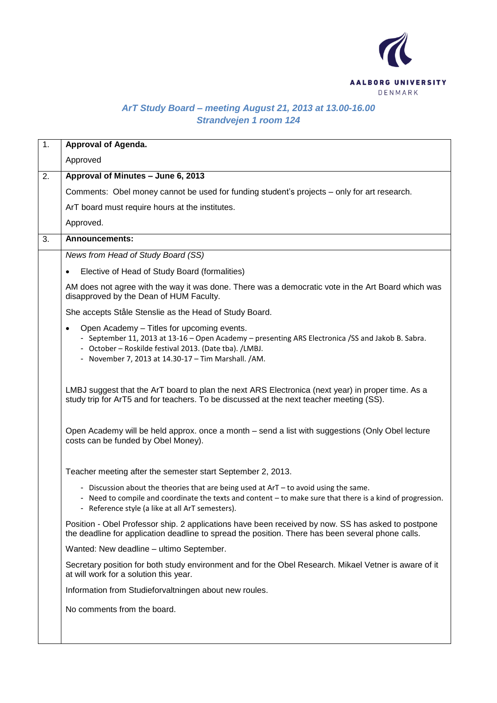

## *ArT Study Board – meeting August 21, 2013 at 13.00-16.00 Strandvejen 1 room 124*

| 1. | Approval of Agenda.                                                                                                                                                                                                                                                             |
|----|---------------------------------------------------------------------------------------------------------------------------------------------------------------------------------------------------------------------------------------------------------------------------------|
|    | Approved                                                                                                                                                                                                                                                                        |
| 2. | Approval of Minutes - June 6, 2013                                                                                                                                                                                                                                              |
|    | Comments: Obel money cannot be used for funding student's projects - only for art research.                                                                                                                                                                                     |
|    | ArT board must require hours at the institutes.                                                                                                                                                                                                                                 |
|    | Approved.                                                                                                                                                                                                                                                                       |
| 3. | <b>Announcements:</b>                                                                                                                                                                                                                                                           |
|    | News from Head of Study Board (SS)                                                                                                                                                                                                                                              |
|    | Elective of Head of Study Board (formalities)                                                                                                                                                                                                                                   |
|    | AM does not agree with the way it was done. There was a democratic vote in the Art Board which was<br>disapproved by the Dean of HUM Faculty.                                                                                                                                   |
|    | She accepts Ståle Stenslie as the Head of Study Board.                                                                                                                                                                                                                          |
|    | Open Academy - Titles for upcoming events.<br>$\bullet$<br>- September 11, 2013 at 13-16 - Open Academy - presenting ARS Electronica / SS and Jakob B. Sabra.<br>- October - Roskilde festival 2013. (Date tba). /LMBJ.<br>- November 7, 2013 at 14.30-17 - Tim Marshall. / AM. |
|    | LMBJ suggest that the ArT board to plan the next ARS Electronica (next year) in proper time. As a<br>study trip for ArT5 and for teachers. To be discussed at the next teacher meeting (SS).                                                                                    |
|    | Open Academy will be held approx. once a month – send a list with suggestions (Only Obel lecture<br>costs can be funded by Obel Money).                                                                                                                                         |
|    | Teacher meeting after the semester start September 2, 2013.                                                                                                                                                                                                                     |
|    | - Discussion about the theories that are being used at ArT - to avoid using the same.<br>- Need to compile and coordinate the texts and content - to make sure that there is a kind of progression.<br>- Reference style (a like at all ArT semesters).                         |
|    | Position - Obel Professor ship. 2 applications have been received by now. SS has asked to postpone<br>the deadline for application deadline to spread the position. There has been several phone calls.                                                                         |
|    | Wanted: New deadline - ultimo September.                                                                                                                                                                                                                                        |
|    | Secretary position for both study environment and for the Obel Research. Mikael Vetner is aware of it<br>at will work for a solution this year.                                                                                                                                 |
|    | Information from Studieforvaltningen about new roules.                                                                                                                                                                                                                          |
|    | No comments from the board.                                                                                                                                                                                                                                                     |
|    |                                                                                                                                                                                                                                                                                 |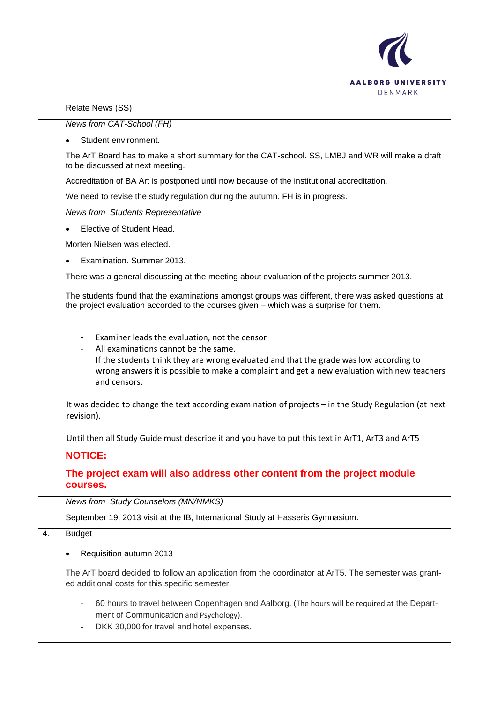

|    | Relate News (SS)                                                                                                                                                                                                                                                                               |
|----|------------------------------------------------------------------------------------------------------------------------------------------------------------------------------------------------------------------------------------------------------------------------------------------------|
|    | News from CAT-School (FH)                                                                                                                                                                                                                                                                      |
|    | Student environment.                                                                                                                                                                                                                                                                           |
|    | The ArT Board has to make a short summary for the CAT-school. SS, LMBJ and WR will make a draft<br>to be discussed at next meeting.                                                                                                                                                            |
|    | Accreditation of BA Art is postponed until now because of the institutional accreditation.                                                                                                                                                                                                     |
|    | We need to revise the study regulation during the autumn. FH is in progress.                                                                                                                                                                                                                   |
|    | <b>News from Students Representative</b>                                                                                                                                                                                                                                                       |
|    | Elective of Student Head.                                                                                                                                                                                                                                                                      |
|    | Morten Nielsen was elected.                                                                                                                                                                                                                                                                    |
|    | Examination. Summer 2013.                                                                                                                                                                                                                                                                      |
|    | There was a general discussing at the meeting about evaluation of the projects summer 2013.                                                                                                                                                                                                    |
|    | The students found that the examinations amongst groups was different, there was asked questions at<br>the project evaluation accorded to the courses given - which was a surprise for them.                                                                                                   |
|    | Examiner leads the evaluation, not the censor<br>All examinations cannot be the same.<br>If the students think they are wrong evaluated and that the grade was low according to<br>wrong answers it is possible to make a complaint and get a new evaluation with new teachers<br>and censors. |
|    | It was decided to change the text according examination of projects - in the Study Regulation (at next<br>revision).                                                                                                                                                                           |
|    | Until then all Study Guide must describe it and you have to put this text in ArT1, ArT3 and ArT5                                                                                                                                                                                               |
|    | <b>NOTICE:</b>                                                                                                                                                                                                                                                                                 |
|    | The project exam will also address other content from the project module<br>courses.                                                                                                                                                                                                           |
|    | <b>News from Study Counselors (MN/NMKS)</b>                                                                                                                                                                                                                                                    |
|    | September 19, 2013 visit at the IB, International Study at Hasseris Gymnasium.                                                                                                                                                                                                                 |
| 4. | <b>Budget</b>                                                                                                                                                                                                                                                                                  |
|    | Requisition autumn 2013<br>٠                                                                                                                                                                                                                                                                   |
|    | The ArT board decided to follow an application from the coordinator at ArT5. The semester was grant-<br>ed additional costs for this specific semester.                                                                                                                                        |
|    | 60 hours to travel between Copenhagen and Aalborg. (The hours will be required at the Depart-<br>-<br>ment of Communication and Psychology).<br>DKK 30,000 for travel and hotel expenses.                                                                                                      |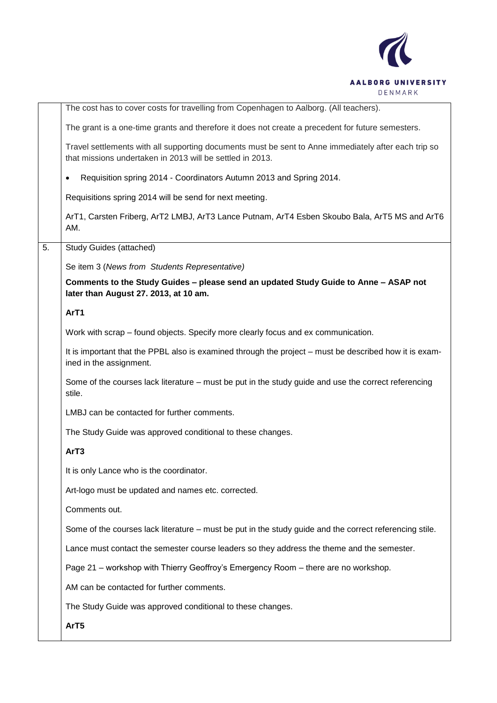

|    | The cost has to cover costs for travelling from Copenhagen to Aalborg. (All teachers).                                                                            |
|----|-------------------------------------------------------------------------------------------------------------------------------------------------------------------|
|    | The grant is a one-time grants and therefore it does not create a precedent for future semesters.                                                                 |
|    | Travel settlements with all supporting documents must be sent to Anne immediately after each trip so<br>that missions undertaken in 2013 will be settled in 2013. |
|    | Requisition spring 2014 - Coordinators Autumn 2013 and Spring 2014.<br>$\bullet$                                                                                  |
|    | Requisitions spring 2014 will be send for next meeting.                                                                                                           |
|    | ArT1, Carsten Friberg, ArT2 LMBJ, ArT3 Lance Putnam, ArT4 Esben Skoubo Bala, ArT5 MS and ArT6<br>AM.                                                              |
| 5. | <b>Study Guides (attached)</b>                                                                                                                                    |
|    | Se item 3 (News from Students Representative)                                                                                                                     |
|    | Comments to the Study Guides - please send an updated Study Guide to Anne - ASAP not<br>later than August 27. 2013, at 10 am.                                     |
|    | ArT1                                                                                                                                                              |
|    | Work with scrap – found objects. Specify more clearly focus and ex communication.                                                                                 |
|    | It is important that the PPBL also is examined through the project – must be described how it is exam-<br>ined in the assignment.                                 |
|    | Some of the courses lack literature – must be put in the study guide and use the correct referencing<br>stile.                                                    |
|    | LMBJ can be contacted for further comments.                                                                                                                       |
|    | The Study Guide was approved conditional to these changes.                                                                                                        |
|    | ArT <sub>3</sub>                                                                                                                                                  |
|    | It is only Lance who is the coordinator.                                                                                                                          |
|    | Art-logo must be updated and names etc. corrected.                                                                                                                |
|    | Comments out.                                                                                                                                                     |
|    | Some of the courses lack literature – must be put in the study guide and the correct referencing stile.                                                           |
|    | Lance must contact the semester course leaders so they address the theme and the semester.                                                                        |
|    | Page 21 - workshop with Thierry Geoffroy's Emergency Room - there are no workshop.                                                                                |
|    | AM can be contacted for further comments.                                                                                                                         |
|    | The Study Guide was approved conditional to these changes.                                                                                                        |
|    | ArT5                                                                                                                                                              |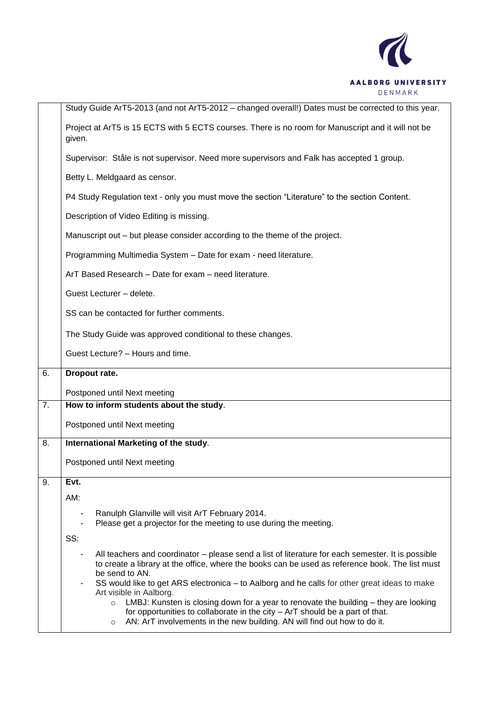

|    | Study Guide ArT5-2013 (and not ArT5-2012 - changed overall!) Dates must be corrected to this year.                                                                                                                                                                                                                                                                                                                                                                                                                                     |  |  |  |  |  |
|----|----------------------------------------------------------------------------------------------------------------------------------------------------------------------------------------------------------------------------------------------------------------------------------------------------------------------------------------------------------------------------------------------------------------------------------------------------------------------------------------------------------------------------------------|--|--|--|--|--|
|    | Project at ArT5 is 15 ECTS with 5 ECTS courses. There is no room for Manuscript and it will not be<br>given.                                                                                                                                                                                                                                                                                                                                                                                                                           |  |  |  |  |  |
|    | Supervisor: Ståle is not supervisor. Need more supervisors and Falk has accepted 1 group.                                                                                                                                                                                                                                                                                                                                                                                                                                              |  |  |  |  |  |
|    | Betty L. Meldgaard as censor.                                                                                                                                                                                                                                                                                                                                                                                                                                                                                                          |  |  |  |  |  |
|    | P4 Study Regulation text - only you must move the section "Literature" to the section Content.                                                                                                                                                                                                                                                                                                                                                                                                                                         |  |  |  |  |  |
|    | Description of Video Editing is missing.                                                                                                                                                                                                                                                                                                                                                                                                                                                                                               |  |  |  |  |  |
|    | Manuscript out – but please consider according to the theme of the project.                                                                                                                                                                                                                                                                                                                                                                                                                                                            |  |  |  |  |  |
|    | Programming Multimedia System - Date for exam - need literature.                                                                                                                                                                                                                                                                                                                                                                                                                                                                       |  |  |  |  |  |
|    | ArT Based Research - Date for exam - need literature.                                                                                                                                                                                                                                                                                                                                                                                                                                                                                  |  |  |  |  |  |
|    | Guest Lecturer - delete.                                                                                                                                                                                                                                                                                                                                                                                                                                                                                                               |  |  |  |  |  |
|    | SS can be contacted for further comments.                                                                                                                                                                                                                                                                                                                                                                                                                                                                                              |  |  |  |  |  |
|    | The Study Guide was approved conditional to these changes.                                                                                                                                                                                                                                                                                                                                                                                                                                                                             |  |  |  |  |  |
|    | Guest Lecture? - Hours and time.                                                                                                                                                                                                                                                                                                                                                                                                                                                                                                       |  |  |  |  |  |
|    |                                                                                                                                                                                                                                                                                                                                                                                                                                                                                                                                        |  |  |  |  |  |
| 6. | Dropout rate.                                                                                                                                                                                                                                                                                                                                                                                                                                                                                                                          |  |  |  |  |  |
|    | Postponed until Next meeting                                                                                                                                                                                                                                                                                                                                                                                                                                                                                                           |  |  |  |  |  |
| 7. | How to inform students about the study.                                                                                                                                                                                                                                                                                                                                                                                                                                                                                                |  |  |  |  |  |
|    | Postponed until Next meeting                                                                                                                                                                                                                                                                                                                                                                                                                                                                                                           |  |  |  |  |  |
| 8. | International Marketing of the study.                                                                                                                                                                                                                                                                                                                                                                                                                                                                                                  |  |  |  |  |  |
|    | Postponed until Next meeting                                                                                                                                                                                                                                                                                                                                                                                                                                                                                                           |  |  |  |  |  |
| 9. | Evt.                                                                                                                                                                                                                                                                                                                                                                                                                                                                                                                                   |  |  |  |  |  |
|    | AM:                                                                                                                                                                                                                                                                                                                                                                                                                                                                                                                                    |  |  |  |  |  |
|    | Ranulph Glanville will visit ArT February 2014.                                                                                                                                                                                                                                                                                                                                                                                                                                                                                        |  |  |  |  |  |
|    | Please get a projector for the meeting to use during the meeting.<br>SS:                                                                                                                                                                                                                                                                                                                                                                                                                                                               |  |  |  |  |  |
|    | All teachers and coordinator – please send a list of literature for each semester. It is possible<br>to create a library at the office, where the books can be used as reference book. The list must<br>be send to AN.<br>SS would like to get ARS electronica – to Aalborg and he calls for other great ideas to make<br>Art visible in Aalborg.<br>LMBJ: Kunsten is closing down for a year to renovate the building – they are looking<br>$\circ$<br>for opportunities to collaborate in the city $-$ ArT should be a part of that. |  |  |  |  |  |